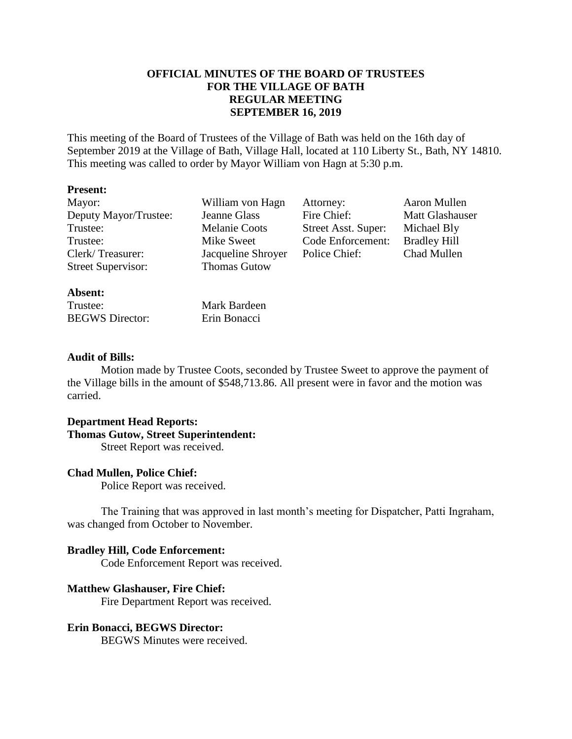## **OFFICIAL MINUTES OF THE BOARD OF TRUSTEES FOR THE VILLAGE OF BATH REGULAR MEETING SEPTEMBER 16, 2019**

This meeting of the Board of Trustees of the Village of Bath was held on the 16th day of September 2019 at the Village of Bath, Village Hall, located at 110 Liberty St., Bath, NY 14810. This meeting was called to order by Mayor William von Hagn at 5:30 p.m.

#### **Present:**

Deputy Mayor/Trustee: Jeanne Glass Fire Chief: Matt Glashauser Trustee: Melanie Coots Street Asst. Super: Michael Bly Trustee: Mike Sweet Code Enforcement: Bradley Hill Clerk/ Treasurer: Jacqueline Shroyer Police Chief: Chad Mullen Street Supervisor: Thomas Gutow

Mayor: William von Hagn Attorney: Aaron Mullen

## **Absent:**

Trustee: Mark Bardeen BEGWS Director: Erin Bonacci

## **Audit of Bills:**

Motion made by Trustee Coots, seconded by Trustee Sweet to approve the payment of the Village bills in the amount of \$548,713.86. All present were in favor and the motion was carried.

# **Department Head Reports:**

### **Thomas Gutow, Street Superintendent:**

Street Report was received.

## **Chad Mullen, Police Chief:**

Police Report was received.

The Training that was approved in last month's meeting for Dispatcher, Patti Ingraham, was changed from October to November.

## **Bradley Hill, Code Enforcement:**

Code Enforcement Report was received.

## **Matthew Glashauser, Fire Chief:**

Fire Department Report was received.

## **Erin Bonacci, BEGWS Director:**

BEGWS Minutes were received.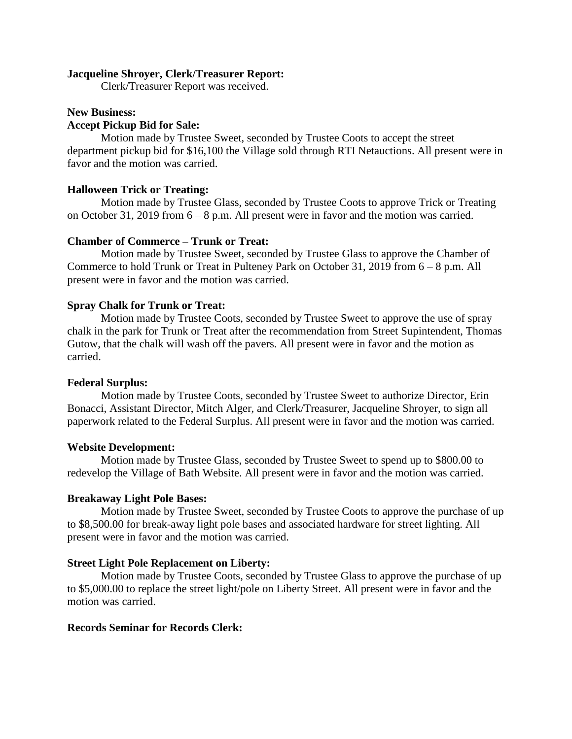#### **Jacqueline Shroyer, Clerk/Treasurer Report:**

Clerk/Treasurer Report was received.

#### **New Business:**

#### **Accept Pickup Bid for Sale:**

Motion made by Trustee Sweet, seconded by Trustee Coots to accept the street department pickup bid for \$16,100 the Village sold through RTI Netauctions. All present were in favor and the motion was carried.

#### **Halloween Trick or Treating:**

Motion made by Trustee Glass, seconded by Trustee Coots to approve Trick or Treating on October 31, 2019 from 6 – 8 p.m. All present were in favor and the motion was carried.

#### **Chamber of Commerce – Trunk or Treat:**

Motion made by Trustee Sweet, seconded by Trustee Glass to approve the Chamber of Commerce to hold Trunk or Treat in Pulteney Park on October 31, 2019 from 6 – 8 p.m. All present were in favor and the motion was carried.

#### **Spray Chalk for Trunk or Treat:**

Motion made by Trustee Coots, seconded by Trustee Sweet to approve the use of spray chalk in the park for Trunk or Treat after the recommendation from Street Supintendent, Thomas Gutow, that the chalk will wash off the pavers. All present were in favor and the motion as carried.

#### **Federal Surplus:**

Motion made by Trustee Coots, seconded by Trustee Sweet to authorize Director, Erin Bonacci, Assistant Director, Mitch Alger, and Clerk/Treasurer, Jacqueline Shroyer, to sign all paperwork related to the Federal Surplus. All present were in favor and the motion was carried.

#### **Website Development:**

Motion made by Trustee Glass, seconded by Trustee Sweet to spend up to \$800.00 to redevelop the Village of Bath Website. All present were in favor and the motion was carried.

#### **Breakaway Light Pole Bases:**

Motion made by Trustee Sweet, seconded by Trustee Coots to approve the purchase of up to \$8,500.00 for break-away light pole bases and associated hardware for street lighting. All present were in favor and the motion was carried.

#### **Street Light Pole Replacement on Liberty:**

Motion made by Trustee Coots, seconded by Trustee Glass to approve the purchase of up to \$5,000.00 to replace the street light/pole on Liberty Street. All present were in favor and the motion was carried.

### **Records Seminar for Records Clerk:**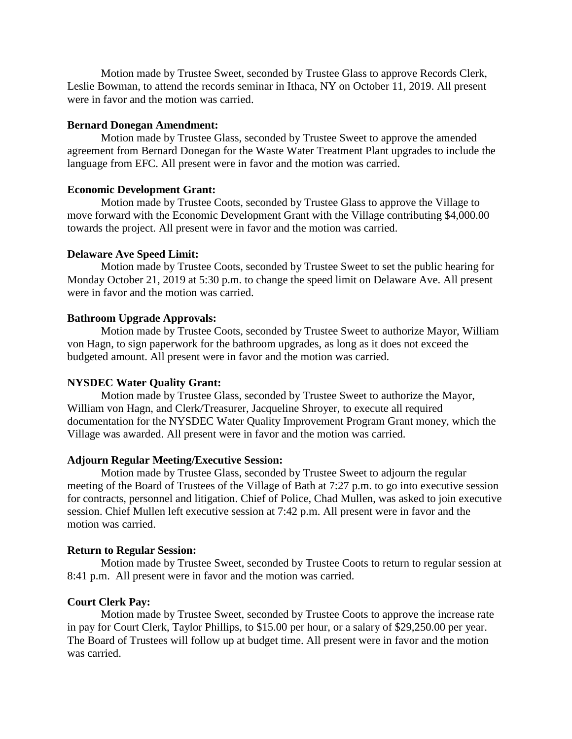Motion made by Trustee Sweet, seconded by Trustee Glass to approve Records Clerk, Leslie Bowman, to attend the records seminar in Ithaca, NY on October 11, 2019. All present were in favor and the motion was carried.

## **Bernard Donegan Amendment:**

Motion made by Trustee Glass, seconded by Trustee Sweet to approve the amended agreement from Bernard Donegan for the Waste Water Treatment Plant upgrades to include the language from EFC. All present were in favor and the motion was carried.

## **Economic Development Grant:**

Motion made by Trustee Coots, seconded by Trustee Glass to approve the Village to move forward with the Economic Development Grant with the Village contributing \$4,000.00 towards the project. All present were in favor and the motion was carried.

## **Delaware Ave Speed Limit:**

Motion made by Trustee Coots, seconded by Trustee Sweet to set the public hearing for Monday October 21, 2019 at 5:30 p.m. to change the speed limit on Delaware Ave. All present were in favor and the motion was carried.

## **Bathroom Upgrade Approvals:**

Motion made by Trustee Coots, seconded by Trustee Sweet to authorize Mayor, William von Hagn, to sign paperwork for the bathroom upgrades, as long as it does not exceed the budgeted amount. All present were in favor and the motion was carried.

## **NYSDEC Water Quality Grant:**

Motion made by Trustee Glass, seconded by Trustee Sweet to authorize the Mayor, William von Hagn, and Clerk/Treasurer, Jacqueline Shroyer, to execute all required documentation for the NYSDEC Water Quality Improvement Program Grant money, which the Village was awarded. All present were in favor and the motion was carried.

## **Adjourn Regular Meeting/Executive Session:**

Motion made by Trustee Glass, seconded by Trustee Sweet to adjourn the regular meeting of the Board of Trustees of the Village of Bath at 7:27 p.m. to go into executive session for contracts, personnel and litigation. Chief of Police, Chad Mullen, was asked to join executive session. Chief Mullen left executive session at 7:42 p.m. All present were in favor and the motion was carried.

## **Return to Regular Session:**

Motion made by Trustee Sweet, seconded by Trustee Coots to return to regular session at 8:41 p.m. All present were in favor and the motion was carried.

## **Court Clerk Pay:**

Motion made by Trustee Sweet, seconded by Trustee Coots to approve the increase rate in pay for Court Clerk, Taylor Phillips, to \$15.00 per hour, or a salary of \$29,250.00 per year. The Board of Trustees will follow up at budget time. All present were in favor and the motion was carried.